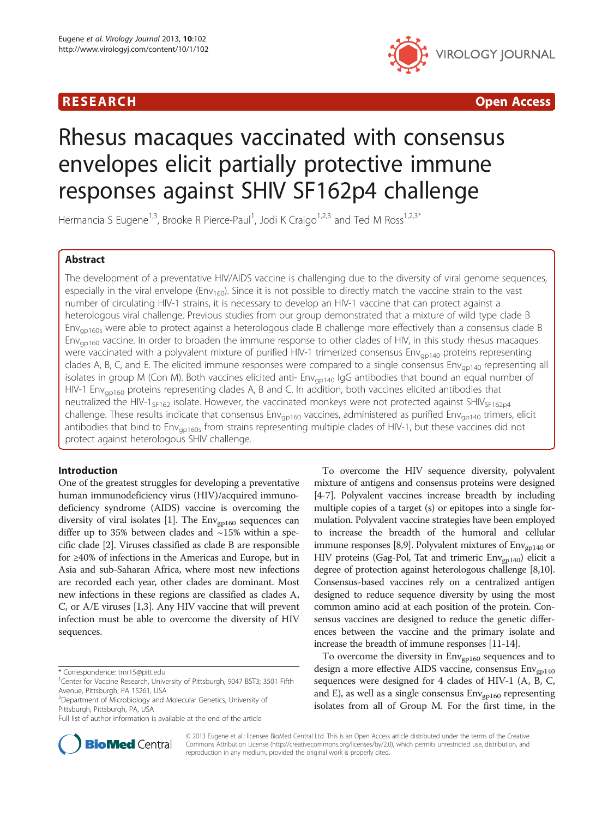# RESEARCH **RESEARCH CONSUMING THE CONSUMING THE CONSUMING THE CONSUMING TEACHER CONSUMING THE CONSUMING TEACHER CONSUMING THE CONSUMING THE CONSUMING THE CONSUMING THE CONSUMING THE CONSUMING THE CONSUMING THE CONSUMING T**



# Rhesus macaques vaccinated with consensus envelopes elicit partially protective immune responses against SHIV SF162p4 challenge

Hermancia S Eugene<sup>1,3</sup>, Brooke R Pierce-Paul<sup>1</sup>, Jodi K Craigo<sup>1,2,3</sup> and Ted M Ross<sup>1,2,3\*</sup>

# Abstract

The development of a preventative HIV/AIDS vaccine is challenging due to the diversity of viral genome sequences, especially in the viral envelope ( $Env<sub>160</sub>$ ). Since it is not possible to directly match the vaccine strain to the vast number of circulating HIV-1 strains, it is necessary to develop an HIV-1 vaccine that can protect against a heterologous viral challenge. Previous studies from our group demonstrated that a mixture of wild type clade B Env<sub>ap160s</sub> were able to protect against a heterologous clade B challenge more effectively than a consensus clade B Env<sub>ap160</sub> vaccine. In order to broaden the immune response to other clades of HIV, in this study rhesus macaques were vaccinated with a polyvalent mixture of purified HIV-1 trimerized consensus Env<sub>gp140</sub> proteins representing clades A, B, C, and E. The elicited immune responses were compared to a single consensus  $Env<sub>qp140</sub>$  representing all isolates in group M (Con M). Both vaccines elicited anti-  $Env<sub>on140</sub>$  IgG antibodies that bound an equal number of HIV-1 Env<sub>ap160</sub> proteins representing clades A, B and C. In addition, both vaccines elicited antibodies that neutralized the HIV-1<sub>SF162</sub> isolate. However, the vaccinated monkeys were not protected against SHIV<sub>SF162p4</sub> challenge. These results indicate that consensus Env<sub>gp160</sub> vaccines, administered as purified Env<sub>gp140</sub> trimers, elicit antibodies that bind to  $Env_{0.0160s}$  from strains representing multiple clades of HIV-1, but these vaccines did not protect against heterologous SHIV challenge.

# Introduction

One of the greatest struggles for developing a preventative human immunodeficiency virus (HIV)/acquired immunodeficiency syndrome (AIDS) vaccine is overcoming the diversity of viral isolates [\[1](#page-8-0)]. The  $Env<sub>gp160</sub>$  sequences can differ up to 35% between clades and  $\sim$ 15% within a specific clade [[2](#page-8-0)]. Viruses classified as clade B are responsible for ≥40% of infections in the Americas and Europe, but in Asia and sub-Saharan Africa, where most new infections are recorded each year, other clades are dominant. Most new infections in these regions are classified as clades A, C, or A/E viruses [\[1,3](#page-8-0)]. Any HIV vaccine that will prevent infection must be able to overcome the diversity of HIV sequences.



To overcome the diversity in  $Env<sub>gp160</sub>$  sequences and to design a more effective AIDS vaccine, consensus  $Env<sub>gpl40</sub>$ sequences were designed for 4 clades of HIV-1 (A, B, C, and E), as well as a single consensus  $Env<sub>gpl60</sub>$  representing isolates from all of Group M. For the first time, in the



© 2013 Eugene et al.; licensee BioMed Central Ltd. This is an Open Access article distributed under the terms of the Creative Commons Attribution License [\(http://creativecommons.org/licenses/by/2.0\)](http://creativecommons.org/licenses/by/2.0), which permits unrestricted use, distribution, and reproduction in any medium, provided the original work is properly cited.

<sup>\*</sup> Correspondence: [tmr15@pitt.edu](mailto:tmr15@pitt.edu) <sup>1</sup>

<sup>&</sup>lt;sup>1</sup> Center for Vaccine Research, University of Pittsburgh, 9047 BST3; 3501 Fifth Avenue, Pittsburgh, PA 15261, USA

<sup>2</sup> Department of Microbiology and Molecular Genetics, University of Pittsburgh, Pittsburgh, PA, USA

Full list of author information is available at the end of the article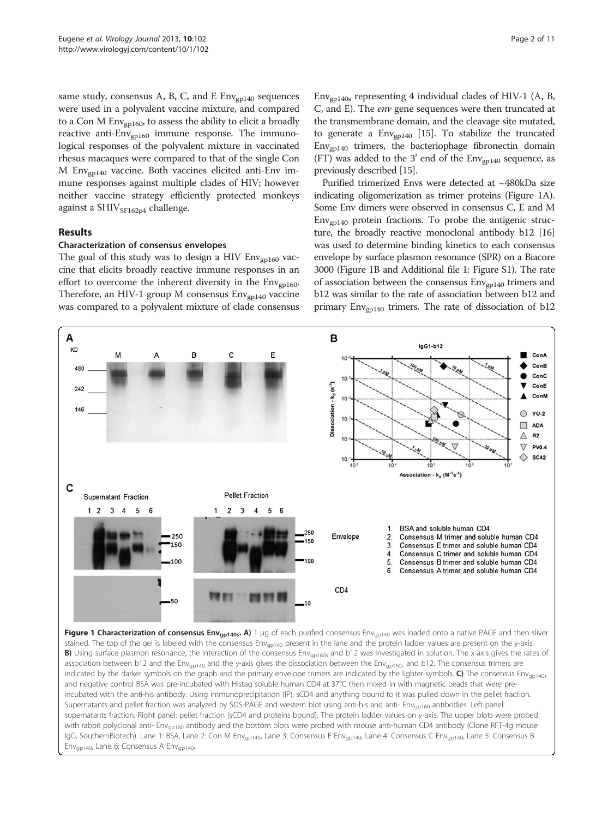<span id="page-1-0"></span>same study, consensus A, B, C, and E  $Env_{\text{gpl40}}$  sequences were used in a polyvalent vaccine mixture, and compared to a Con M  $Env_{\text{gpl60}}$ , to assess the ability to elicit a broadly reactive anti- $Env<sub>gpl60</sub>$  immune response. The immunological responses of the polyvalent mixture in vaccinated rhesus macaques were compared to that of the single Con M  $Env<sub>gpl40</sub>$  vaccine. Both vaccines elicited anti-Env immune responses against multiple clades of HIV; however neither vaccine strategy efficiently protected monkeys against a SHIV<sub>SF162p4</sub> challenge.

### Results

A

**KD** 

48

M

### Characterization of consensus envelopes

The goal of this study was to design a HIV  $Env_{gpl60}$  vaccine that elicits broadly reactive immune responses in an effort to overcome the inherent diversity in the  $Env<sub>gp160</sub>$ . Therefore, an HIV-1 group M consensus  $Env_{\text{gpl40}}$  vaccine was compared to a polyvalent mixture of clade consensus

B

 $\mathcal{C}$ 

E

 $Env<sub>gpl40s</sub>$  representing 4 individual clades of HIV-1 (A, B, C, and E). The env gene sequences were then truncated at the transmembrane domain, and the cleavage site mutated, to generate a  $Env_{gp140}$  [\[15\]](#page-9-0). To stabilize the truncated  $Env<sub>gpl40</sub>$  trimers, the bacteriophage fibronectin domain (FT) was added to the 3' end of the  $Env_{\text{gpl40}}$  sequence, as previously described [[15](#page-9-0)].

Purified trimerized Envs were detected at ~480kDa size indicating oligomerization as trimer proteins (Figure 1A). Some Env dimers were observed in consensus C, E and M  $Env<sub>gpl40</sub>$  protein fractions. To probe the antigenic structure, the broadly reactive monoclonal antibody b12 [\[16](#page-9-0)] was used to determine binding kinetics to each consensus envelope by surface plasmon resonance (SPR) on a Biacore 3000 (Figure 1B and Additional file [1:](#page-8-0) Figure S1). The rate of association between the consensus  $Env_{\text{gpl40}}$  trimers and b12 was similar to the rate of association between b12 and primary  $Env_{\text{gpl40}}$  trimers. The rate of dissociation of b12

 $l$ a $G$ 1-b12



B

 $10$ 

10

ConA

ConB

ConC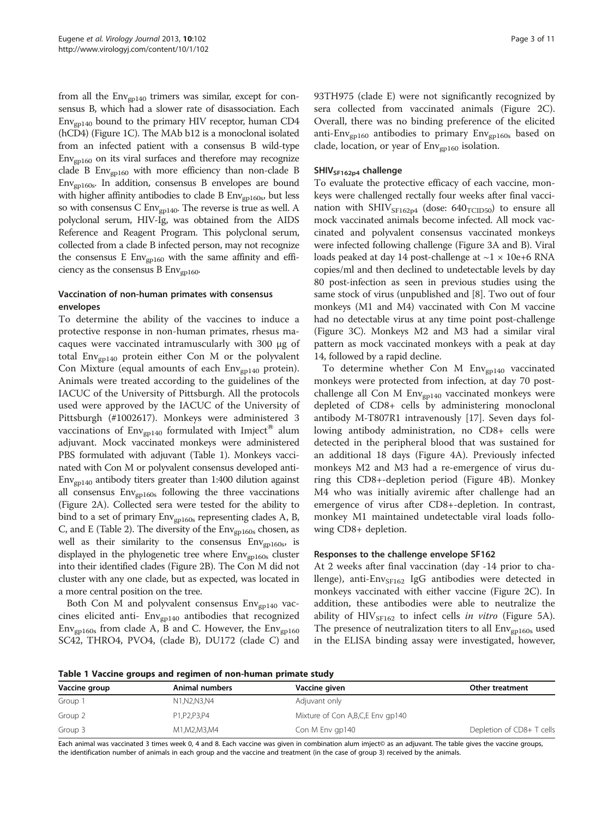<span id="page-2-0"></span>from all the  $Env<sub>gpl40</sub>$  trimers was similar, except for consensus B, which had a slower rate of disassociation. Each  $Env<sub>gpl40</sub>$  bound to the primary HIV receptor, human CD4 (hCD4) (Figure [1C](#page-1-0)). The MAb b12 is a monoclonal isolated from an infected patient with a consensus B wild-type  $Env<sub>gpl60</sub>$  on its viral surfaces and therefore may recognize clade B  $Env<sub>gpl60</sub>$  with more efficiency than non-clade B Envgp160s. In addition, consensus B envelopes are bound with higher affinity antibodies to clade B  $Env<sub>gpl60s</sub>$ , but less so with consensus C Env<sub>gp140</sub>. The reverse is true as well. A polyclonal serum, HIV-Ig, was obtained from the AIDS Reference and Reagent Program. This polyclonal serum, collected from a clade B infected person, may not recognize the consensus E  $Env<sub>g</sub><sub>160</sub>$  with the same affinity and efficiency as the consensus B  $Env<sub>gpl60</sub>$ .

# Vaccination of non-human primates with consensus envelopes

To determine the ability of the vaccines to induce a protective response in non-human primates, rhesus macaques were vaccinated intramuscularly with 300 μg of total  $Env_{gpl40}$  protein either Con M or the polyvalent Con Mixture (equal amounts of each  $Env_{gpl40}$  protein). Animals were treated according to the guidelines of the IACUC of the University of Pittsburgh. All the protocols used were approved by the IACUC of the University of Pittsburgh (#1002617). Monkeys were administered 3 vaccinations of  $Env_{\text{gpl40}}$  formulated with Imject<sup>®</sup> alum adjuvant. Mock vaccinated monkeys were administered PBS formulated with adjuvant (Table 1). Monkeys vaccinated with Con M or polyvalent consensus developed anti- $Env<sub>gpl40</sub>$  antibody titers greater than 1:400 dilution against all consensus  $Env<sub>gpl60s</sub>$  following the three vaccinations (Figure [2A](#page-3-0)). Collected sera were tested for the ability to bind to a set of primary  $Env_{\text{gp160s}}$  representing clades A, B, C, and E (Table [2](#page-4-0)). The diversity of the  $Env<sub>gp160s</sub>$  chosen, as well as their similarity to the consensus  $Env<sub>gpl60s</sub>$ , is displayed in the phylogenetic tree where  $Env<sub>gp160s</sub>$  cluster into their identified clades (Figure [2](#page-3-0)B). The Con M did not cluster with any one clade, but as expected, was located in a more central position on the tree.

Both Con M and polyvalent consensus  $Env<sub>gpl40</sub>$  vaccines elicited anti-  $Env_{gp140}$  antibodies that recognized  $Env<sub>gpl60s</sub>$  from clade A, B and C. However, the  $Env<sub>gpl60</sub>$ SC42, THRO4, PVO4, (clade B), DU172 (clade C) and 93TH975 (clade E) were not significantly recognized by sera collected from vaccinated animals (Figure [2C](#page-3-0)). Overall, there was no binding preference of the elicited anti-Env<sub>gp160</sub> antibodies to primary Env<sub>gp160s</sub> based on clade, location, or year of  $Env_{gpl60}$  isolation.

#### $SHIV<sub>SF162p4</sub>$  challenge

To evaluate the protective efficacy of each vaccine, monkeys were challenged rectally four weeks after final vaccination with  $SHIV<sub>SE162p4</sub>$  (dose:  $640<sub>TCID50</sub>$ ) to ensure all mock vaccinated animals become infected. All mock vaccinated and polyvalent consensus vaccinated monkeys were infected following challenge (Figure [3A](#page-5-0) and B). Viral loads peaked at day 14 post-challenge at  $\sim$ 1  $\times$  10e+6 RNA copies/ml and then declined to undetectable levels by day 80 post-infection as seen in previous studies using the same stock of virus (unpublished and [\[8\]](#page-9-0). Two out of four monkeys (M1 and M4) vaccinated with Con M vaccine had no detectable virus at any time point post-challenge (Figure [3](#page-5-0)C). Monkeys M2 and M3 had a similar viral pattern as mock vaccinated monkeys with a peak at day 14, followed by a rapid decline.

To determine whether Con M  $Env_{\text{gpl40}}$  vaccinated monkeys were protected from infection, at day 70 postchallenge all Con M Env<sub>gp140</sub> vaccinated monkeys were depleted of CD8+ cells by administering monoclonal antibody M-T807R1 intravenously [[17\]](#page-9-0). Seven days following antibody administration, no CD8+ cells were detected in the peripheral blood that was sustained for an additional 18 days (Figure [4A](#page-6-0)). Previously infected monkeys M2 and M3 had a re-emergence of virus during this CD8+-depletion period (Figure [4B](#page-6-0)). Monkey M4 who was initially aviremic after challenge had an emergence of virus after CD8+-depletion. In contrast, monkey M1 maintained undetectable viral loads following CD8+ depletion.

#### Responses to the challenge envelope SF162

At 2 weeks after final vaccination (day -14 prior to challenge), anti-Env $_{SF162}$  IgG antibodies were detected in monkeys vaccinated with either vaccine (Figure [2C](#page-3-0)). In addition, these antibodies were able to neutralize the ability of  $HIV_{SF162}$  to infect cells in vitro (Figure [5](#page-7-0)A). The presence of neutralization titers to all  $Env<sub>gpl60s</sub>$  used in the ELISA binding assay were investigated, however,

Table 1 Vaccine groups and regimen of non-human primate study

| Vaccine group | Animal numbers | Vaccine given                       | Other treatment           |  |  |
|---------------|----------------|-------------------------------------|---------------------------|--|--|
| Group 1       | N1,N2,N3,N4    | Adjuvant only                       |                           |  |  |
| Group 2       | P1.P2.P3.P4    | Mixture of Con A, B, C, E Env gp140 |                           |  |  |
| Group 3       | M1, M2, M3, M4 | Con M Env gp140                     | Depletion of CD8+ T cells |  |  |

Each animal was vaccinated 3 times week 0, 4 and 8. Each vaccine was given in combination alum imject© as an adjuvant. The table gives the vaccine groups, the identification number of animals in each group and the vaccine and treatment (in the case of group 3) received by the animals.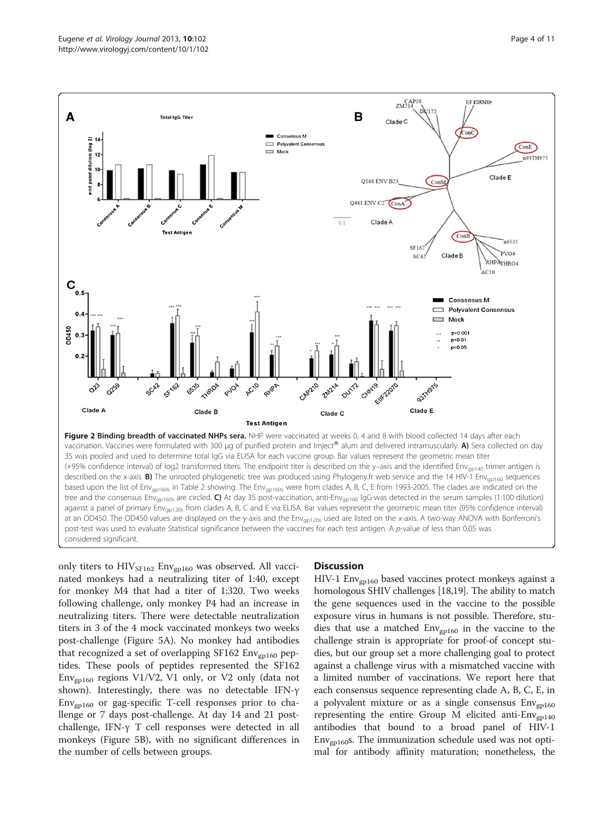<span id="page-3-0"></span>

vaccination. Vaccines were formulated with 300 μg of purified protein and Imject® alum and delivered intramuscularly. A) Sera collected on day 35 was pooled and used to determine total IgG via ELISA for each vaccine group. Bar values represent the geometric mean titer (+95% confidence interval) of log2 transformed titers. The endpoint titer is described on the y–axis and the identified Envgp140 trimer antigen is described on the x-axis. **B)** The unrooted phylogenetic tree was produced using Phylogeny.fr web service and the 14 HIV-1 Env<sub>ap160</sub> sequences based upon the list of Env<sub>ap160s</sub> in Table [2](#page-4-0) showing. The Env<sub>ap160s</sub> were from clades A, B, C, E from 1993-2005. The clades are indicated on the tree and the consensus Env<sub>gp160s</sub> are circled. C) At day 35 post-vaccination, anti-Env<sub>gp160</sub> IgG was detected in the serum samples (1:100 dilution) against a panel of primary Env<sub>gp120s</sub> from clades A, B, C and E via ELISA. Bar values represent the geometric mean titer (95% confidence interval) at an OD450. The OD450 values are displayed on the y-axis and the Env<sub>ap120s</sub> used are listed on the x-axis. A two-way ANOVA with Bonferroni's post-test was used to evaluate Statistical significance between the vaccines for each test antigen. A p-value of less than 0.05 was considered significant.

only titers to  $HIV_{SF162}$  Env<sub>gp160</sub> was observed. All vaccinated monkeys had a neutralizing titer of 1:40, except for monkey M4 that had a titer of 1:320. Two weeks following challenge, only monkey P4 had an increase in neutralizing titers. There were detectable neutralization titers in 3 of the 4 mock vaccinated monkeys two weeks post-challenge (Figure [5](#page-7-0)A). No monkey had antibodies that recognized a set of overlapping SF162  $Env_{gp160}$  peptides. These pools of peptides represented the SF162  $Env<sub>gpl60</sub>$  regions V1/V2, V1 only, or V2 only (data not shown). Interestingly, there was no detectable IFN-γ  $Env<sub>gpl60</sub>$  or gag-specific T-cell responses prior to challenge or 7 days post-challenge. At day 14 and 21 postchallenge, IFN-γ T cell responses were detected in all monkeys (Figure [5](#page-7-0)B), with no significant differences in the number of cells between groups.

### **Discussion**

HIV-1  $Env<sub>gpl60</sub>$  based vaccines protect monkeys against a homologous SHIV challenges [\[18,19](#page-9-0)]. The ability to match the gene sequences used in the vaccine to the possible exposure virus in humans is not possible. Therefore, studies that use a matched  $Env_{\text{gpl60}}$  in the vaccine to the challenge strain is appropriate for proof-of concept studies, but our group set a more challenging goal to protect against a challenge virus with a mismatched vaccine with a limited number of vaccinations. We report here that each consensus sequence representing clade A, B, C, E, in a polyvalent mixture or as a single consensus  $Env<sub>gpl60</sub>$ representing the entire Group M elicited anti- $Env_{gpl40}$ antibodies that bound to a broad panel of HIV-1  $Env<sub>gpl60</sub>$ s. The immunization schedule used was not optimal for antibody affinity maturation; nonetheless, the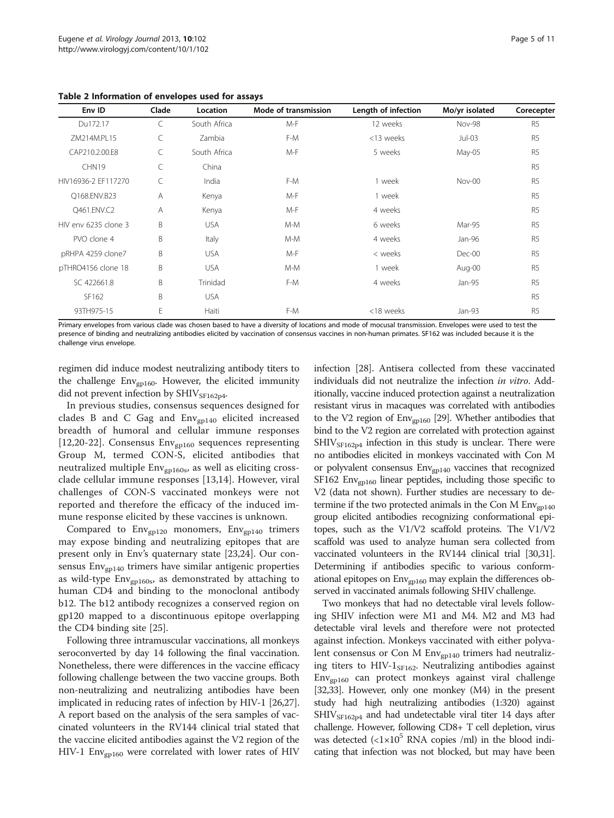<span id="page-4-0"></span>Table 2 Information of envelopes used for assays

| Env ID               | Clade | Location     | Mode of transmission | Length of infection | Mo/yr isolated | Corecepter     |
|----------------------|-------|--------------|----------------------|---------------------|----------------|----------------|
| Du172.17             | C     | South Africa | $M-F$                | 12 weeks            | <b>Nov-98</b>  | R <sub>5</sub> |
| 7M214M.PI 15         | C     | Zambia       | F-M                  | <13 weeks           | $Jul-03$       | R <sub>5</sub> |
| CAP210.2.00.E8       | C     | South Africa | $M-F$                | 5 weeks             | May-05         | R <sub>5</sub> |
| CHN <sub>19</sub>    | C     | China        |                      |                     |                | R <sub>5</sub> |
| HIV16936-2 FF117270  | C     | India        | F-M                  | 1 week              | $Nov-00$       | R <sub>5</sub> |
| O168.ENV.B23         | A     | Kenya        | $M-F$                | 1 week              |                | R <sub>5</sub> |
| O461.ENV.C2          | A     | Kenya        | $M-F$                | 4 weeks             |                | R <sub>5</sub> |
| HIV env 6235 clone 3 | B     | <b>USA</b>   | $M-M$                | 6 weeks             | Mar-95         | R <sub>5</sub> |
| PVO clone 4          | B     | Italy        | $M-M$                | 4 weeks             | Jan-96         | R <sub>5</sub> |
| pRHPA 4259 clone7    | B     | <b>USA</b>   | $M-F$                | < weeks             | Dec-00         | R <sub>5</sub> |
| pTHRO4156 clone 18   | B     | <b>USA</b>   | $M-M$                | 1 week              | Aug-00         | R <sub>5</sub> |
| SC 422661.8          | B     | Trinidad     | F-M                  | 4 weeks             | Jan-95         | R <sub>5</sub> |
| SF162                | B     | <b>USA</b>   |                      |                     |                | R <sub>5</sub> |
| 93TH975-15           | E     | Haiti        | F-M                  | <18 weeks           | Jan-93         | R <sub>5</sub> |

Primary envelopes from various clade was chosen based to have a diversity of locations and mode of mocusal transmission. Envelopes were used to test the presence of binding and neutralizing antibodies elicited by vaccination of consensus vaccines in non-human primates. SF162 was included because it is the challenge virus envelope.

regimen did induce modest neutralizing antibody titers to the challenge  $Env_{\text{gpl60}}$ . However, the elicited immunity did not prevent infection by SHIV<sub>SF162p4</sub>.

In previous studies, consensus sequences designed for clades B and C Gag and  $Env_{\text{gpl40}}$  elicited increased breadth of humoral and cellular immune responses [[12,20](#page-9-0)-[22\]](#page-9-0). Consensus  $Env_{gpl60}$  sequences representing Group M, termed CON-S, elicited antibodies that neutralized multiple  $Env_{gpl60s}$ , as well as eliciting crossclade cellular immune responses [[13,14\]](#page-9-0). However, viral challenges of CON-S vaccinated monkeys were not reported and therefore the efficacy of the induced immune response elicited by these vaccines is unknown.

Compared to  $Env<sub>gpl20</sub>$  monomers,  $Env<sub>gpl40</sub>$  trimers may expose binding and neutralizing epitopes that are present only in Env's quaternary state [[23,24\]](#page-9-0). Our consensus  $Env<sub>gpl40</sub>$  trimers have similar antigenic properties as wild-type  $Env_{\text{gp160s}}$ , as demonstrated by attaching to human CD4 and binding to the monoclonal antibody b12. The b12 antibody recognizes a conserved region on gp120 mapped to a discontinuous epitope overlapping the CD4 binding site [\[25\]](#page-9-0).

Following three intramuscular vaccinations, all monkeys seroconverted by day 14 following the final vaccination. Nonetheless, there were differences in the vaccine efficacy following challenge between the two vaccine groups. Both non-neutralizing and neutralizing antibodies have been implicated in reducing rates of infection by HIV-1 [\[26,27](#page-9-0)]. A report based on the analysis of the sera samples of vaccinated volunteers in the RV144 clinical trial stated that the vaccine elicited antibodies against the V2 region of the HIV-1 Env<sub>gp160</sub> were correlated with lower rates of HIV

infection [[28\]](#page-9-0). Antisera collected from these vaccinated individuals did not neutralize the infection in vitro. Additionally, vaccine induced protection against a neutralization resistant virus in macaques was correlated with antibodies to the V2 region of  $Env_{\text{gpl60}}$  [[29](#page-9-0)]. Whether antibodies that bind to the V2 region are correlated with protection against  $SHIV<sub>SF162p4</sub>$  infection in this study is unclear. There were no antibodies elicited in monkeys vaccinated with Con M or polyvalent consensus Env<sub>gp140</sub> vaccines that recognized SF162  $Env_{epl60}$  linear peptides, including those specific to V2 (data not shown). Further studies are necessary to determine if the two protected animals in the Con M  $Env_{\text{gpl40}}$ group elicited antibodies recognizing conformational epitopes, such as the V1/V2 scaffold proteins. The V1/V2 scaffold was used to analyze human sera collected from vaccinated volunteers in the RV144 clinical trial [[30,31](#page-9-0)]. Determining if antibodies specific to various conformational epitopes on  $Env_{\text{gpl60}}$  may explain the differences observed in vaccinated animals following SHIV challenge.

Two monkeys that had no detectable viral levels following SHIV infection were M1 and M4. M2 and M3 had detectable viral levels and therefore were not protected against infection. Monkeys vaccinated with either polyvalent consensus or Con M  $Env_{\text{gpl40}}$  trimers had neutralizing titers to HIV- $1_{\text{SFI62}}$ . Neutralizing antibodies against  $Env<sub>gp160</sub>$  can protect monkeys against viral challenge [[32,33\]](#page-9-0). However, only one monkey (M4) in the present study had high neutralizing antibodies (1:320) against  $SHIV<sub>SF162p4</sub>$  and had undetectable viral titer 14 days after challenge. However, following CD8+ T cell depletion, virus was detected  $\left(\frac{2 \times 10^5}{2}$  RNA copies /ml) in the blood indicating that infection was not blocked, but may have been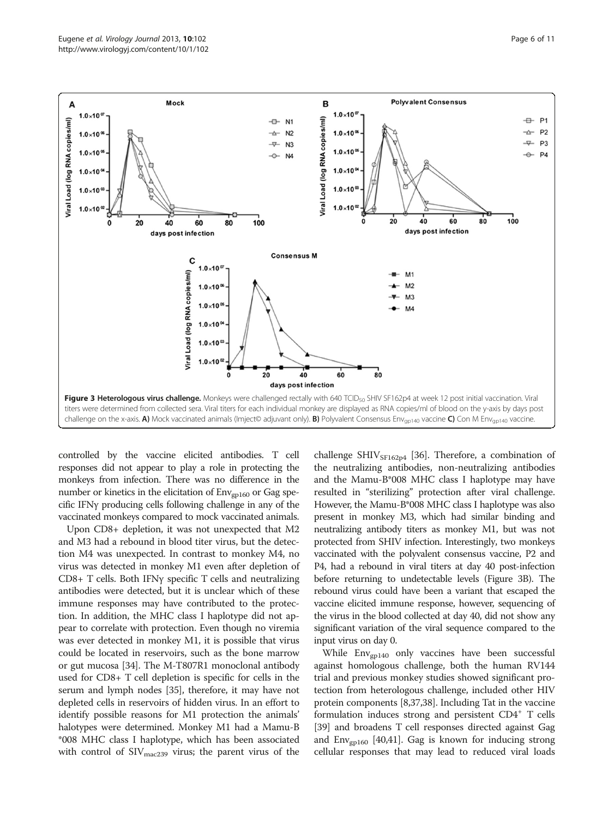<span id="page-5-0"></span>

controlled by the vaccine elicited antibodies. T cell responses did not appear to play a role in protecting the monkeys from infection. There was no difference in the number or kinetics in the elicitation of  $Env<sub>gpl60</sub>$  or Gag specific IFNγ producing cells following challenge in any of the vaccinated monkeys compared to mock vaccinated animals.

Upon CD8+ depletion, it was not unexpected that M2 and M3 had a rebound in blood titer virus, but the detection M4 was unexpected. In contrast to monkey M4, no virus was detected in monkey M1 even after depletion of CD8+ T cells. Both IFNγ specific T cells and neutralizing antibodies were detected, but it is unclear which of these immune responses may have contributed to the protection. In addition, the MHC class I haplotype did not appear to correlate with protection. Even though no viremia was ever detected in monkey M1, it is possible that virus could be located in reservoirs, such as the bone marrow or gut mucosa [\[34](#page-9-0)]. The M-T807R1 monoclonal antibody used for CD8+ T cell depletion is specific for cells in the serum and lymph nodes [[35\]](#page-9-0), therefore, it may have not depleted cells in reservoirs of hidden virus. In an effort to identify possible reasons for M1 protection the animals' halotypes were determined. Monkey M1 had a Mamu-B \*008 MHC class I haplotype, which has been associated with control of  $\text{SIV}_{\text{mac239}}$  virus; the parent virus of the

challenge SHIV<sub>SF162p4</sub> [[36\]](#page-9-0). Therefore, a combination of the neutralizing antibodies, non-neutralizing antibodies and the Mamu-B\*008 MHC class I haplotype may have resulted in "sterilizing" protection after viral challenge. However, the Mamu-B\*008 MHC class I haplotype was also present in monkey M3, which had similar binding and neutralizing antibody titers as monkey M1, but was not protected from SHIV infection. Interestingly, two monkeys vaccinated with the polyvalent consensus vaccine, P2 and P4, had a rebound in viral titers at day 40 post-infection before returning to undetectable levels (Figure 3B). The rebound virus could have been a variant that escaped the vaccine elicited immune response, however, sequencing of the virus in the blood collected at day 40, did not show any significant variation of the viral sequence compared to the input virus on day 0.

While  $Env_{\text{gpl40}}$  only vaccines have been successful against homologous challenge, both the human RV144 trial and previous monkey studies showed significant protection from heterologous challenge, included other HIV protein components [\[8,37,38\]](#page-9-0). Including Tat in the vaccine formulation induces strong and persistent  $CD4^+$  T cells [[39](#page-9-0)] and broadens T cell responses directed against Gag and  $Env<sub>gpl60</sub>$  [[40,41\]](#page-9-0). Gag is known for inducing strong cellular responses that may lead to reduced viral loads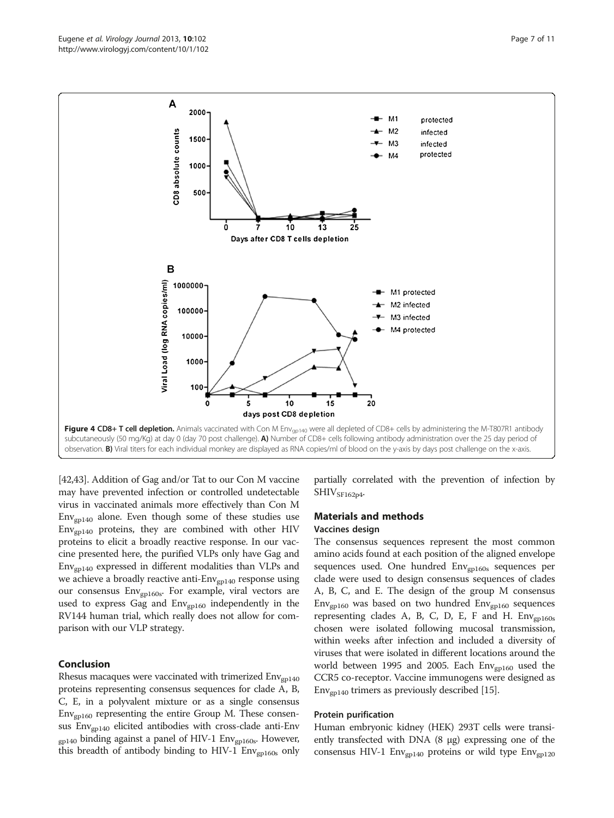<span id="page-6-0"></span>

[[42](#page-9-0)[,43](#page-10-0)]. Addition of Gag and/or Tat to our Con M vaccine may have prevented infection or controlled undetectable virus in vaccinated animals more effectively than Con M  $Env<sub>gpl40</sub>$  alone. Even though some of these studies use  $Env<sub>gpl40</sub>$  proteins, they are combined with other HIV proteins to elicit a broadly reactive response. In our vaccine presented here, the purified VLPs only have Gag and  $Env<sub>gpl40</sub>$  expressed in different modalities than VLPs and we achieve a broadly reactive anti-Env<sub>gp140</sub> response using our consensus Env<sub>gp160s</sub>. For example, viral vectors are used to express Gag and  $Env_{\text{gpl60}}$  independently in the RV144 human trial, which really does not allow for comparison with our VLP strategy.

## Conclusion

Rhesus macaques were vaccinated with trimerized  $Env<sub>gpl40</sub>$ proteins representing consensus sequences for clade A, B, C, E, in a polyvalent mixture or as a single consensus  $Env<sub>gpl60</sub>$  representing the entire Group M. These consensus Envgp140 elicited antibodies with cross-clade anti-Env  $_{\text{g}p140}$  binding against a panel of HIV-1 Env $_{\text{g}p160s}$ . However, this breadth of antibody binding to HIV-1 Env<sub>gp160s</sub> only

partially correlated with the prevention of infection by  $SHIV<sub>SF162p4</sub>$ 

# Materials and methods

# Vaccines design

The consensus sequences represent the most common amino acids found at each position of the aligned envelope sequences used. One hundred Env<sub>gp160s</sub> sequences per clade were used to design consensus sequences of clades A, B, C, and E. The design of the group M consensus  $Env_{gpl60}$  was based on two hundred  $Env_{gpl60}$  sequences representing clades A, B, C, D, E, F and H.  $Env<sub>gpl60s</sub>$ chosen were isolated following mucosal transmission, within weeks after infection and included a diversity of viruses that were isolated in different locations around the world between 1995 and 2005. Each  $Env<sub>gpl60</sub>$  used the CCR5 co-receptor. Vaccine immunogens were designed as  $Env<sub>gp140</sub>$  trimers as previously described [[15](#page-9-0)].

#### Protein purification

Human embryonic kidney (HEK) 293T cells were transiently transfected with DNA (8 μg) expressing one of the consensus HIV-1  $Env_{gp140}$  proteins or wild type  $Env_{gp120}$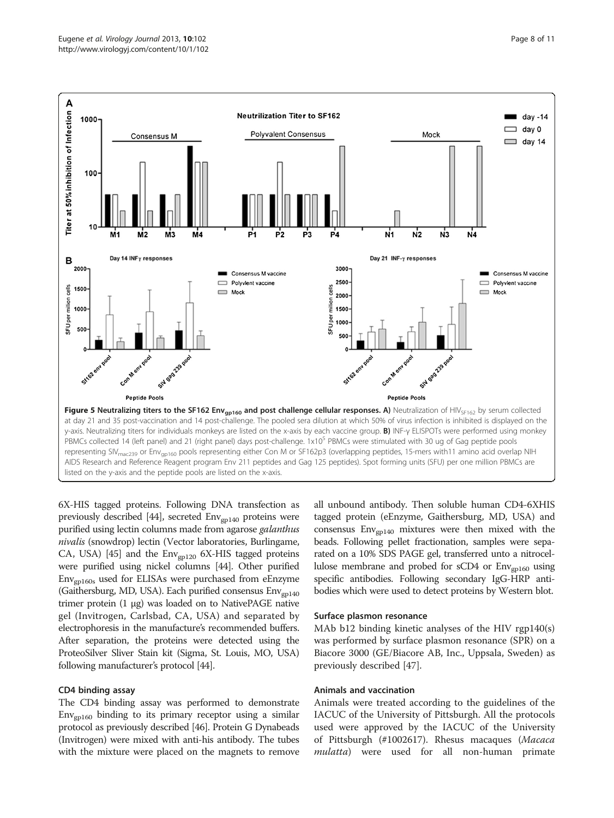<span id="page-7-0"></span>

6X-HIS tagged proteins. Following DNA transfection as previously described [[44](#page-10-0)], secreted  $Env<sub>gpl40</sub>$  proteins were purified using lectin columns made from agarose galanthus nivalis (snowdrop) lectin (Vector laboratories, Burlingame, CA, USA) [[45](#page-10-0)] and the  $Env_{\text{gpl20}}$  6X-HIS tagged proteins were purified using nickel columns [[44](#page-10-0)]. Other purified Envgp160s used for ELISAs were purchased from eEnzyme (Gaithersburg, MD, USA). Each purified consensus Env<sub>gp140</sub> trimer protein (1 μg) was loaded on to NativePAGE native gel (Invitrogen, Carlsbad, CA, USA) and separated by electrophoresis in the manufacture's recommended buffers. After separation, the proteins were detected using the ProteoSilver Sliver Stain kit (Sigma, St. Louis, MO, USA) following manufacturer's protocol [\[44](#page-10-0)].

#### CD4 binding assay

The CD4 binding assay was performed to demonstrate  $Env<sub>gpl60</sub>$  binding to its primary receptor using a similar protocol as previously described [\[46\]](#page-10-0). Protein G Dynabeads (Invitrogen) were mixed with anti-his antibody. The tubes with the mixture were placed on the magnets to remove all unbound antibody. Then soluble human CD4-6XHIS tagged protein (eEnzyme, Gaithersburg, MD, USA) and consensus  $Env<sub>gpl40</sub>$  mixtures were then mixed with the beads. Following pellet fractionation, samples were separated on a 10% SDS PAGE gel, transferred unto a nitrocellulose membrane and probed for sCD4 or Env<sub>gp160</sub> using specific antibodies. Following secondary IgG-HRP antibodies which were used to detect proteins by Western blot.

#### Surface plasmon resonance

MAb b12 binding kinetic analyses of the HIV rgp140(s) was performed by surface plasmon resonance (SPR) on a Biacore 3000 (GE/Biacore AB, Inc., Uppsala, Sweden) as previously described [\[47\]](#page-10-0).

#### Animals and vaccination

Animals were treated according to the guidelines of the IACUC of the University of Pittsburgh. All the protocols used were approved by the IACUC of the University of Pittsburgh (#1002617). Rhesus macaques (Macaca mulatta) were used for all non-human primate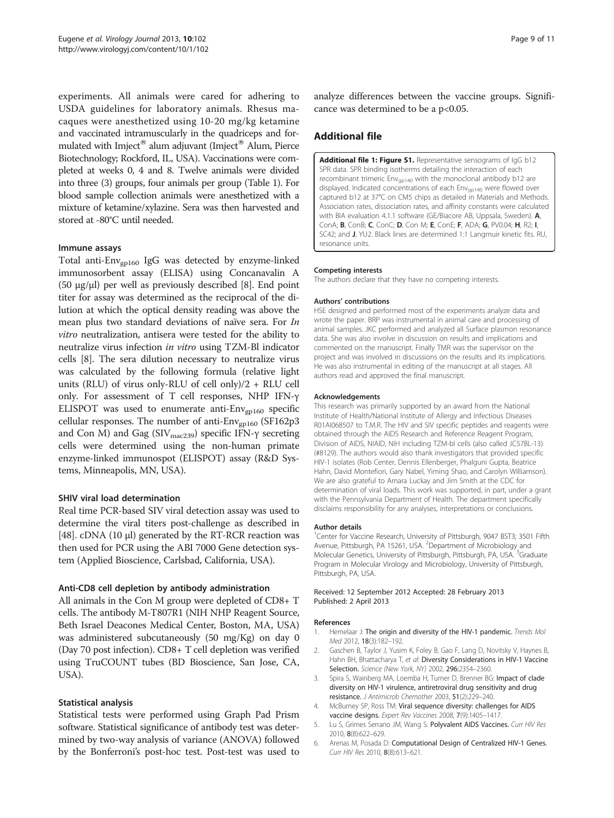<span id="page-8-0"></span>experiments. All animals were cared for adhering to USDA guidelines for laboratory animals. Rhesus macaques were anesthetized using 10-20 mg/kg ketamine and vaccinated intramuscularly in the quadriceps and formulated with Imject® alum adjuvant (Imject® Alum, Pierce Biotechnology; Rockford, IL, USA). Vaccinations were completed at weeks 0, 4 and 8. Twelve animals were divided into three (3) groups, four animals per group (Table [1](#page-2-0)). For blood sample collection animals were anesthetized with a mixture of ketamine/xylazine. Sera was then harvested and stored at -80°C until needed.

### Immune assays

Total anti-Env<sub>gp160</sub> IgG was detected by enzyme-linked immunosorbent assay (ELISA) using Concanavalin A (50 μg/μl) per well as previously described [[8](#page-9-0)]. End point titer for assay was determined as the reciprocal of the dilution at which the optical density reading was above the mean plus two standard deviations of naïve sera. For In vitro neutralization, antisera were tested for the ability to neutralize virus infection in vitro using TZM-Bl indicator cells [\[8](#page-9-0)]. The sera dilution necessary to neutralize virus was calculated by the following formula (relative light units (RLU) of virus only-RLU of cell only)/2 + RLU cell only. For assessment of T cell responses, NHP IFN-γ ELISPOT was used to enumerate anti- $Env_{\text{gpl60}}$  specific cellular responses. The number of anti- $Env_{gpl60}$  (SF162p3 and Con M) and Gag (SIV<sub>mac239</sub>) specific IFN-γ secreting cells were determined using the non-human primate enzyme-linked immunospot (ELISPOT) assay (R&D Systems, Minneapolis, MN, USA).

#### SHIV viral load determination

Real time PCR-based SIV viral detection assay was used to determine the viral titers post-challenge as described in [[48](#page-10-0)]. cDNA (10  $\mu$ ) generated by the RT-RCR reaction was then used for PCR using the ABI 7000 Gene detection system (Applied Bioscience, Carlsbad, California, USA).

#### Anti-CD8 cell depletion by antibody administration

All animals in the Con M group were depleted of CD8+ T cells. The antibody M-T807R1 (NIH NHP Reagent Source, Beth Israel Deacones Medical Center, Boston, MA, USA) was administered subcutaneously (50 mg/Kg) on day 0 (Day 70 post infection). CD8+ T cell depletion was verified using TruCOUNT tubes (BD Bioscience, San Jose, CA, USA).

#### Statistical analysis

Statistical tests were performed using Graph Pad Prism software. Statistical significance of antibody test was determined by two-way analysis of variance (ANOVA) followed by the Bonferroni's post-hoc test. Post-test was used to analyze differences between the vaccine groups. Significance was determined to be a p<0.05.

# Additional file

[Additional file 1: Figure S1.](http://www.biomedcentral.com/content/supplementary/1743-422X-10-102-S1.pdf) Representative sensograms of IgG b12 SPR data. SPR binding isotherms detailing the interaction of each recombinant trimeric Env<sub>ap140</sub> with the monoclonal antibody b12 are displayed. Indicated concentrations of each Env<sub>antan</sub> were flowed over captured b12 at 37°C on CM5 chips as detailed in Materials and Methods. Association rates, dissociation rates, and affinity constants were calculated with BIA evaluation 4.1.1 software (GE/Biacore AB, Uppsala, Sweden). A, ConA; B, ConB; C, ConC; D, Con M; E, ConE; F, ADA; G, PV0.04; H, R2; I, SC42; and J, YU2. Black lines are determined 1:1 Langmuir kinetic fits. RU, resonance units.

#### Competing interests

The authors declare that they have no competing interests.

#### Authors' contributions

HSE designed and performed most of the experiments analyze data and wrote the paper. BRP was instrumental in animal care and processing of animal samples. JKC performed and analyzed all Surface plasmon resonance data. She was also involve in discussion on results and implications and commented on the manuscript. Finally TMR was the supervisor on the project and was involved in discussions on the results and its implications. He was also instrumental in editing of the manuscript at all stages. All authors read and approved the final manuscript.

#### Acknowledgements

This research was primarily supported by an award from the National Institute of Health/National Institute of Allergy and Infectious Diseases R01AI068507 to T.M.R. The HIV and SIV specific peptides and reagents were obtained through the AIDS Research and Reference Reagent Program, Division of AIDS, NIAID, NIH including TZM-bl cells (also called JC57BL-13) (#8129). The authors would also thank investigators that provided specific HIV-1 isolates (Rob Center, Dennis Ellenberger, Phalguni Gupta, Beatrice Hahn, David Montefiori, Gary Nabel, Yiming Shao, and Carolyn Williamson). We are also grateful to Amara Luckay and Jim Smith at the CDC for determination of viral loads. This work was supported, in part, under a grant with the Pennsylvania Department of Health. The department specifically disclaims responsibility for any analyses, interpretations or conclusions.

#### Author details

<sup>1</sup>Center for Vaccine Research, University of Pittsburgh, 9047 BST3; 3501 Fifth Avenue, Pittsburgh, PA 15261, USA. <sup>2</sup>Department of Microbiology and Molecular Genetics, University of Pittsburgh, Pittsburgh, PA, USA. <sup>3</sup>Graduate Program in Molecular Virology and Microbiology, University of Pittsburgh, Pittsburgh, PA, USA.

#### Received: 12 September 2012 Accepted: 28 February 2013 Published: 2 April 2013

#### References

- 1. Hemelaar J: The origin and diversity of the HIV-1 pandemic. Trends Mol Med 2012, 18(3):182–192.
- 2. Gaschen B, Taylor J, Yusim K, Foley B, Gao F, Lang D, Novitsky V, Haynes B, Hahn BH, Bhattacharya T, et al: Diversity Considerations in HIV-1 Vaccine Selection. Science (New York, NY) 2002, 296:2354–2360.
- 3. Spira S, Wainberg MA, Loemba H, Turner D, Brenner BG: Impact of clade diversity on HIV-1 virulence, antiretroviral drug sensitivity and drug resistance. J Antimicrob Chemother 2003, 51(2):229-240.
- 4. McBurney SP, Ross TM: Viral sequence diversity: challenges for AIDS vaccine designs. Expert Rev Vaccines 2008, 7(9):1405–1417.
- 5. Lu S, Grimes Serrano JM, Wang S: Polyvalent AIDS Vaccines. Curr HIV Res 2010, 8(8):622–629.
- 6. Arenas M, Posada D: Computational Design of Centralized HIV-1 Genes. Curr HIV Res 2010, 8(8):613–621.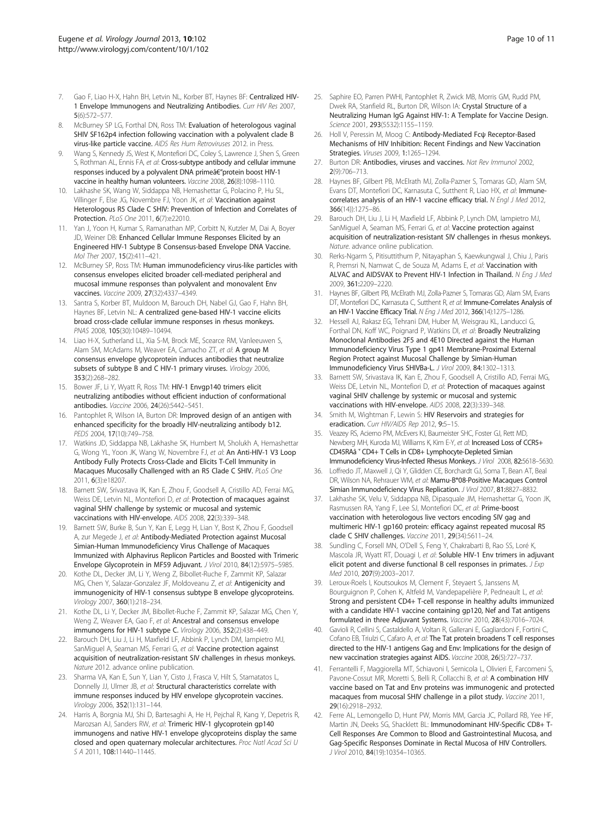- <span id="page-9-0"></span>7. Gao F, Liao H-X, Hahn BH, Letvin NL, Korber BT, Haynes BF: Centralized HIV-1 Envelope Immunogens and Neutralizing Antibodies. Curr HIV Res 2007, 5(6):572–577.
- McBurney SP LG, Forthal DN, Ross TM: Evaluation of heterologous vaginal SHIV SF162p4 infection following vaccination with a polyvalent clade B virus-like particle vaccine. AIDS Res Hum Retroviruses 2012. in Press.
- 9. Wang S, Kennedy JS, West K, Montefiori DC, Coley S, Lawrence J, Shen S, Green S, Rothman AL, Ennis FA, et al: Cross-subtype antibody and cellular immune responses induced by a polyvalent DNA primeâ€"protein boost HIV-1 vaccine in healthy human volunteers. Vaccine 2008, 26(8):1098–1110.
- 10. Lakhashe SK, Wang W, Siddappa NB, Hemashettar G, Polacino P, Hu SL, Villinger F, Else JG, Novembre FJ, Yoon JK, et al: Vaccination against Heterologous R5 Clade C SHIV: Prevention of Infection and Correlates of Protection. PLoS One 2011, 6(7):e22010.
- 11. Yan J, Yoon H, Kumar S, Ramanathan MP, Corbitt N, Kutzler M, Dai A, Boyer JD, Weiner DB: Enhanced Cellular Immune Responses Elicited by an Engineered HIV-1 Subtype B Consensus-based Envelope DNA Vaccine. Mol Ther 2007, 15(2):411–421.
- 12. McBurney SP, Ross TM: Human immunodeficiency virus-like particles with consensus envelopes elicited broader cell-mediated peripheral and mucosal immune responses than polyvalent and monovalent Env vaccines. Vaccine 2009, 27(32):4337–4349.
- 13. Santra S, Korber BT, Muldoon M, Barouch DH, Nabel GJ, Gao F, Hahn BH, Haynes BF, Letvin NL: A centralized gene-based HIV-1 vaccine elicits broad cross-clade cellular immune responses in rhesus monkeys. PNAS 2008, 105(30):10489–10494.
- 14. Liao H-X, Sutherland LL, Xia S-M, Brock ME, Scearce RM, Vanleeuwen S, Alam SM, McAdams M, Weaver FA, Camacho ZT, et al: A group M consensus envelope glycoprotein induces antibodies that neutralize subsets of subtype B and C HIV-1 primary viruses. Virology 2006, 353(2):268–282.
- 15. Bower JF, Li Y, Wyatt R, Ross TM: HIV-1 Envgp140 trimers elicit neutralizing antibodies without efficient induction of conformational antibodies. Vaccine 2006, 24(26):5442–5451.
- 16. Pantophlet R, Wilson IA, Burton DR: Improved design of an antigen with enhanced specificity for the broadly HIV-neutralizing antibody b12. PEDS 2004, 17(10):749-758.
- 17. Watkins JD, Siddappa NB, Lakhashe SK, Humbert M, Sholukh A, Hemashettar G, Wong YL, Yoon JK, Wang W, Novembre FJ, et al: An Anti-HIV-1 V3 Loop Antibody Fully Protects Cross-Clade and Elicits T-Cell Immunity in Macaques Mucosally Challenged with an R5 Clade C SHIV. PLoS One 2011, 6(3):e18207.
- 18. Barnett SW, Srivastava IK, Kan E, Zhou F, Goodsell A, Cristillo AD, Ferrai MG, Weiss DE, Letvin NL, Montefiori D, et al: Protection of macaques against vaginal SHIV challenge by systemic or mucosal and systemic vaccinations with HIV-envelope. AIDS 2008, 22(3):339–348.
- 19. Barnett SW, Burke B, Sun Y, Kan E, Legg H, Lian Y, Bost K, Zhou F, Goodsell A, zur Megede J, et al: Antibody-Mediated Protection against Mucosal Simian-Human Immunodeficiency Virus Challenge of Macaques Immunized with Alphavirus Replicon Particles and Boosted with Trimeric Envelope Glycoprotein in MF59 Adjuvant. J Virol 2010, 84(12):5975–5985.
- 20. Kothe DL, Decker JM, Li Y, Weng Z, Bibollet-Ruche F, Zammit KP, Salazar MG, Chen Y, Salazar-Gonzalez JF, Moldoveanu Z, et al: Antigenicity and immunogenicity of HIV-1 consensus subtype B envelope glycoproteins. Virology 2007, 360(1):218–234.
- 21. Kothe DL, Li Y, Decker JM, Bibollet-Ruche F, Zammit KP, Salazar MG, Chen Y, Weng Z, Weaver EA, Gao F, et al: Ancestral and consensus envelope immunogens for HIV-1 subtype C. Virology 2006, 352(2):438–449.
- 22. Barouch DH, Liu J, Li H, Maxfield LF, Abbink P, Lynch DM, Iampietro MJ, SanMiguel A, Seaman MS, Ferrari G, et al: Vaccine protection against acquisition of neutralization-resistant SIV challenges in rhesus monkeys. Nature 2012. advance online publication.
- 23. Sharma VA, Kan E, Sun Y, Lian Y, Cisto J, Frasca V, Hilt S, Stamatatos L, Donnelly JJ, Ulmer JB, et al: Structural characteristics correlate with immune responses induced by HIV envelope glycoprotein vaccines. Virology 2006, 352(1):131–144.
- 24. Harris A, Borgnia MJ, Shi D, Bartesaghi A, He H, Pejchal R, Kang Y, Depetris R, Marozsan AJ, Sanders RW, et al: Trimeric HIV-1 glycoprotein gp140 immunogens and native HIV-1 envelope glycoproteins display the same closed and open quaternary molecular architectures. Proc Natl Acad Sci U S A 2011, 108:11440–11445.
- 25. Saphire EO, Parren PWHI, Pantophlet R, Zwick MB, Morris GM, Rudd PM, Dwek RA, Stanfield RL, Burton DR, Wilson IA: Crystal Structure of a Neutralizing Human IgG Against HIV-1: A Template for Vaccine Design. Science 2001, 293(5532):1155–1159.
- 26. Holl V, Peressin M, Moog C: Antibody-Mediated Fcψ Receptor-Based Mechanisms of HIV Inhibition: Recent Findings and New Vaccination Strategies. Viruses 2009, 1:1265–1294.
- 27. Burton DR: Antibodies, viruses and vaccines. Nat Rev Immunol 2002, 2(9):706–713.
- 28. Haynes BF, Gilbert PB, McElrath MJ, Zolla-Pazner S, Tomaras GD, Alam SM, Evans DT, Montefiori DC, Karnasuta C, Sutthent R, Liao HX, et al: Immunecorrelates analysis of an HIV-1 vaccine efficacy trial. N Engl J Med 2012, 366(14)):1275–86.
- 29. Barouch DH, Liu J, Li H, Maxfield LF, Abbink P, Lynch DM, Iampietro MJ, SanMiguel A, Seaman MS, Ferrari G, et al: Vaccine protection against acquisition of neutralization-resistant SIV challenges in rhesus monkeys. Nature. advance online publication.
- 30. Rerks-Ngarm S, Pitisuttithum P, Nitayaphan S, Kaewkungwal J, Chiu J, Paris R, Premsri N, Namwat C, de Souza M, Adams E, et al: Vaccination with ALVAC and AIDSVAX to Prevent HIV-1 Infection in Thailand. N Eng J Med 2009, 361:2209–2220.
- 31. Haynes BF, Gilbert PB, McElrath MJ, Zolla-Pazner S, Tomaras GD, Alam SM, Evans DT, Montefiori DC, Karnasuta C, Sutthent R, et al: Immune-Correlates Analysis of an HIV-1 Vaccine Efficacy Trial. N Eng J Med 2012, 366(14):1275-1286.
- 32. Hessell AJ, Rakasz EG, Tehrani DM, Huber M, Weisgrau KL, Landucci G, Forthal DN, Koff WC, Poignard P, Watkins DI, et al. **Broadly Neutralizing** Monoclonal Antibodies 2F5 and 4E10 Directed against the Human Immunodeficiency Virus Type 1 gp41 Membrane-Proximal External Region Protect against Mucosal Challenge by Simian-Human Immunodeficiency Virus SHIVBa-L. J Virol 2009, 84:1302–1313.
- 33. Barnett SW, Srivastava IK, Kan E, Zhou F, Goodsell A, Cristillo AD, Ferrai MG, Weiss DE, Letvin NL, Montefiori D, et al: Protection of macaques against vaginal SHIV challenge by systemic or mucosal and systemic vaccinations with HIV-envelope. AIDS 2008, 22(3):339–348.
- Smith M, Wightman F, Lewin S: HIV Reservoirs and strategies for eradication. Curr HIV/AIDS Rep 2012, 9:5-15.
- 35. Veazey RS, Acierno PM, McEvers KJ, Baumeister SHC, Foster GJ, Rett MD, Newberg MH, Kuroda MJ, Williams K, Kim E-Y, et al: Increased Loss of CCR5+ CD45RAâ^' CD4+ T Cells in CD8+ Lymphocyte-Depleted Simian Immunodeficiency Virus-Infected Rhesus Monkeys. J Virol 2008, 82:5618–5630.
- 36. Loffredo JT, Maxwell J, Qi Y, Glidden CE, Borchardt GJ, Soma T, Bean AT, Beal DR, Wilson NA, Rehrauer WM, et al: Mamu-B\*08-Positive Macaques Control Simian Immunodeficiency Virus Replication. J Virol 2007, 81:8827–8832.
- 37. Lakhashe SK, Velu V, Siddappa NB, Dipasquale JM, Hemashettar G, Yoon JK, Rasmussen RA, Yang F, Lee SJ, Montefiori DC, et al: Prime-boost vaccination with heterologous live vectors encoding SIV gag and multimeric HIV-1 gp160 protein: efficacy against repeated mucosal R5 clade C SHIV challenges. Vaccine 2011, 29(34):5611–24.
- 38. Sundling C, Forsell MN, O'Dell S, Feng Y, Chakrabarti B, Rao SS, Loré K, Mascola JR, Wyatt RT, Douagi I, et al: Soluble HIV-1 Env trimers in adjuvant elicit potent and diverse functional B cell responses in primates. J Exp Med 2010, 207(9):2003–2017.
- 39. Leroux-Roels I, Koutsoukos M, Clement F, Steyaert S, Janssens M, Bourguignon P, Cohen K, Altfeld M, Vandepapelière P, Pedneault L, et al: Strong and persistent CD4+ T-cell response in healthy adults immunized with a candidate HIV-1 vaccine containing gp120, Nef and Tat antigens formulated in three Adjuvant Systems. Vaccine 2010, 28(43):7016–7024.
- 40. Gavioli R, Cellini S, Castaldello A, Voltan R, Gallerani E, Gagliardoni F, Fortini C, Cofano EB, Triulzi C, Cafaro A, et al: The Tat protein broadens T cell responses directed to the HIV-1 antigens Gag and Env: Implications for the design of new vaccination strategies against AIDS. Vaccine 2008, 26(5):727–737.
- 41. Ferrantelli F, Maggiorella MT, Schiavoni I, Sernicola L, Olivieri E, Farcomeni S, Pavone-Cossut MR, Moretti S, Belli R, Collacchi B, et al: A combination HIV vaccine based on Tat and Env proteins was immunogenic and protected macaques from mucosal SHIV challenge in a pilot study. Vaccine 2011, 29(16):2918–2932.
- 42. Ferre AL, Lemongello D, Hunt PW, Morris MM, Garcia JC, Pollard RB, Yee HF, Martin JN, Deeks SG, Shacklett BL: Immunodominant HIV-Specific CD8+ T-Cell Responses Are Common to Blood and Gastrointestinal Mucosa, and Gag-Specific Responses Dominate in Rectal Mucosa of HIV Controllers. J Virol 2010, 84(19):10354–10365.